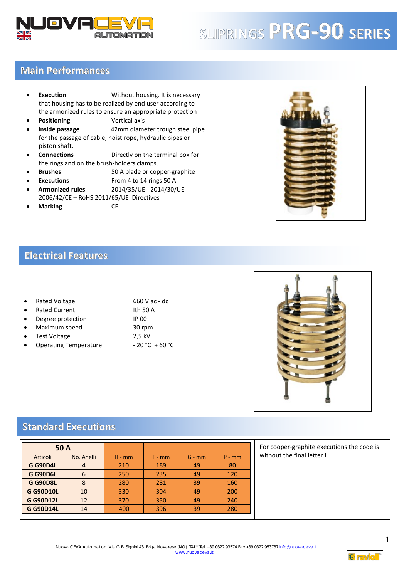

# <sup>P</sup> **SLIPRINGS PRG-90 SERIES**

### **Main Performances**

- **Execution** Without housing. It is necessary that housing has to be realized by end user according to the armonized rules to ensure an appropriate protection
- **Positioning Vertical axis**
- **Inside passage** 42mm diameter trough steel pipe for the passage of cable, hoist rope, hydraulic pipes or piston shaft.
- **Connections** Directly on the terminal box for the rings and on the brush-holders clamps.
- **Brushes** 50 A blade or copper-graphite
- **Executions** From 4 to 14 rings 50 A
- **Armonized rules** 2014/35/UE 2014/30/UE 2006/42/CE – RoHS 2011/65/UE Directives
- **Marking** CE



#### **Electrical Features**

| $\bullet$ | Rated Voltage        | 660 V ac - dc |
|-----------|----------------------|---------------|
| $\bullet$ | <b>Rated Current</b> | Ith 50 A      |
| $\bullet$ | Degree protection    | IP 00         |
| $\bullet$ | Maximum speed        | 30 rpm        |
| $\bullet$ | Test Voltage         | 2.5 kV        |

Operating Temperature - 20 °C + 60 °C



#### **Standard Executions**

| 50 A             |            |          |          |          |          |  |  |
|------------------|------------|----------|----------|----------|----------|--|--|
| Articoli         | No. Anelli | $H - mm$ | $F - mm$ | $G - mm$ | $P - mm$ |  |  |
| <b>G G90D4L</b>  | 4          | 210      | 189      | 49       | 80       |  |  |
| <b>G G90D6L</b>  | 6          | 250      | 235      | 49       | 120      |  |  |
| <b>G G90D8L</b>  | 8          | 280      | 281      | 39       | 160      |  |  |
| <b>G G90D10L</b> | 10         | 330      | 304      | 49       | 200      |  |  |
| <b>G G90D12L</b> | 12         | 370      | 350      | 49       | 240      |  |  |
| <b>G G90D14L</b> | 14         | 400      | 396      | 39       | 280      |  |  |

For cooper-graphite executions the code is without the final letter L.